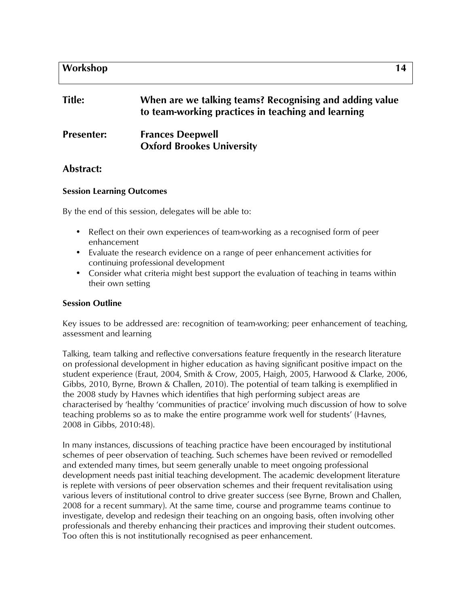## **Workshop 14**

# **Title: When are we talking teams? Recognising and adding value to team-working practices in teaching and learning**

# **Presenter: Frances Deepwell Oxford Brookes University**

## **Abstract:**

#### **Session Learning Outcomes**

By the end of this session, delegates will be able to:

- Reflect on their own experiences of team-working as a recognised form of peer enhancement
- Evaluate the research evidence on a range of peer enhancement activities for continuing professional development
- Consider what criteria might best support the evaluation of teaching in teams within their own setting

#### **Session Outline**

Key issues to be addressed are: recognition of team-working; peer enhancement of teaching, assessment and learning

Talking, team talking and reflective conversations feature frequently in the research literature on professional development in higher education as having significant positive impact on the student experience (Eraut, 2004, Smith & Crow, 2005, Haigh, 2005, Harwood & Clarke, 2006, Gibbs, 2010, Byrne, Brown & Challen, 2010). The potential of team talking is exemplified in the 2008 study by Havnes which identifies that high performing subject areas are characterised by 'healthy 'communities of practice' involving much discussion of how to solve teaching problems so as to make the entire programme work well for students' (Havnes, 2008 in Gibbs, 2010:48).

In many instances, discussions of teaching practice have been encouraged by institutional schemes of peer observation of teaching. Such schemes have been revived or remodelled and extended many times, but seem generally unable to meet ongoing professional development needs past initial teaching development. The academic development literature is replete with versions of peer observation schemes and their frequent revitalisation using various levers of institutional control to drive greater success (see Byrne, Brown and Challen, 2008 for a recent summary). At the same time, course and programme teams continue to investigate, develop and redesign their teaching on an ongoing basis, often involving other professionals and thereby enhancing their practices and improving their student outcomes. Too often this is not institutionally recognised as peer enhancement.